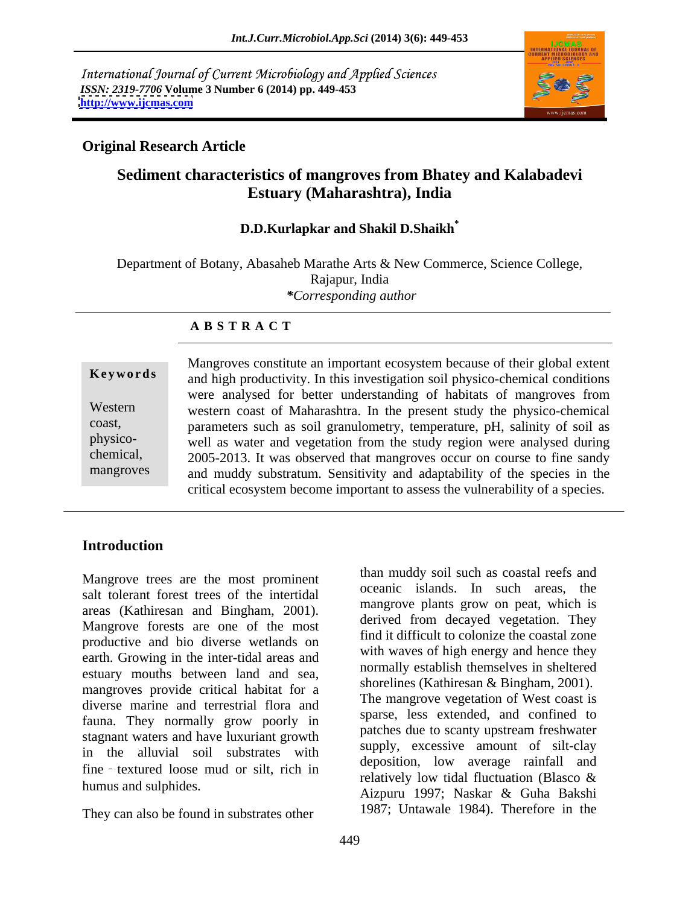International Journal of Current Microbiology and Applied Sciences *ISSN: 2319-7706* **Volume 3 Number 6 (2014) pp. 449-453 <http://www.ijcmas.com>**



### **Original Research Article**

# **Sediment characteristics of mangroves from Bhatey and Kalabadevi Estuary (Maharashtra), India**

### **D.D.Kurlapkar and Shakil D.Shaikh\***

Department of Botany, Abasaheb Marathe Arts & New Commerce, Science College, Rajapur, India *\*Corresponding author* 

### **A B S T R A C T**

**Ke ywo rds** and high productivity. In this investigation soil physico-chemical conditions Western western coast of Maharashtra. In the present study the physico-chemical coast, parameters such as soil granulometry, temperature, pH, salinity of soil as physico- well as water and vegetation from the study region were analysed during chemical, 2005-2013. It was observed that mangroves occur on course to fine sandy mangroves and muddy substratum. Sensitivity and adaptability of the species in the Mangroves constitute an important ecosystem because of their global extent were analysed for better understanding of habitats of mangroves from critical ecosystem become important to assess the vulnerability of a species.

## **Introduction**

Mangrove trees are the most prominent salt tolerant forest trees of the intertidal areas (Kathiresan and Bingham, 2001). Mangrove forests are one of the most productive and bio diverse wetlands on earth. Growing in the inter-tidal areas and estuary mouths between land and sea, mangroves provide critical habitat for a diverse marine and terrestrial flora and fauna. They normally grow poorly in sparse, less extended, and commed to<br>patches due to scanty upstream freshwater stagnant waters and have luxuriant growth in the alluvial soil substrates with fine textured loose mud or silt, rich in

They can also be found in substrates other

humus and sulphides.<br>Aizpuru 1997; Naskar & Guha Bakshi than muddy soil such as coastal reefs and oceanic islands. In such areas, the mangrove plants grow on peat, which is derived from decayed vegetation. They find it difficult to colonize the coastal zone with waves of high energy and hence they normally establish themselves in sheltered shorelines (Kathiresan & Bingham, 2001). The mangrove vegetation of West coast is sparse, less extended, and confined to patches due to scanty upstream freshwater supply, excessive amount of silt-clay deposition, low average rainfall and relatively low tidal fluctuation (Blasco & 1987; Untawale 1984). Therefore in the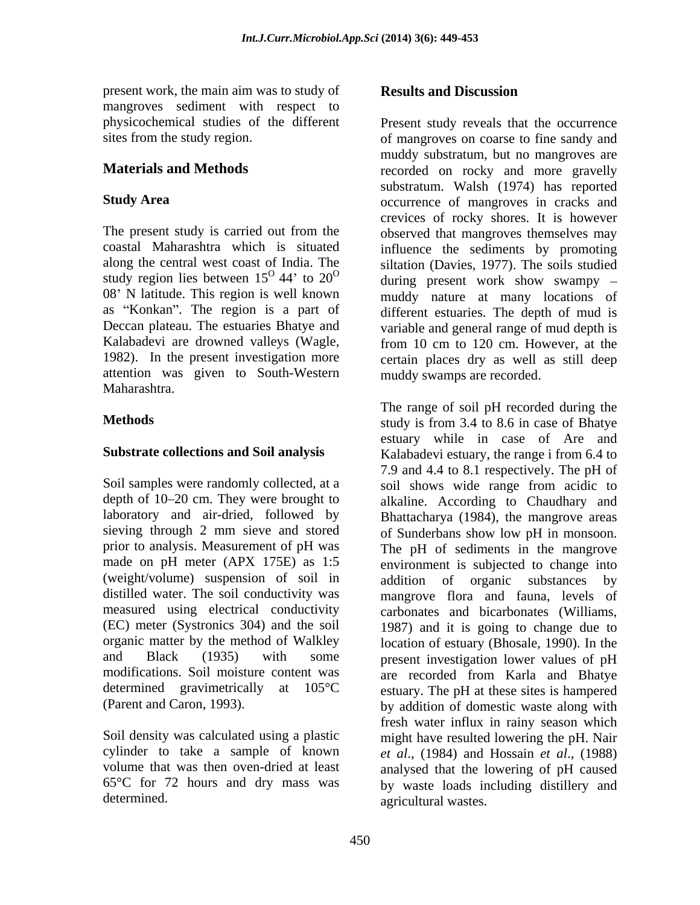present work, the main aim was to study of **Results and Discussion** mangroves sediment with respect to

study region lies between  $15^{\circ}$  44' to  $20^{\circ}$ as "Konkan". The region is a part of 1982). In the present investigation more attention was given to South-Western Maharashtra.

depth of  $10-20$  cm. They were brought to (weight/volume) suspension of soil in distilled water. The soil conductivity was measured using electrical conductivity (EC) meter (Systronics 304) and the soil

## **Results and Discussion**

physicochemical studies of the different Present study reveals that the occurrence sites from the study region. The study region of mangroves on coarse to fine sandy and **Materials and Methods** recorded on rocky and more gravelly **Study Area occurrence** of mangroves in cracks and The present study is carried out from the observed that mangroves themselves may coastal Maharashtra which is situated influence the sediments by promoting along the central west coast of India. The siltation (Davies, 1977). The soils studied 08' N latitude. This region is well known muddy nature at many locations of Deccan plateau. The estuaries Bhatye and variable and general range of mud depth is Kalabadevi are drowned valleys (Wagle, from 10 cm to 120 cm. However, at the muddy substratum, but no mangroves are substratum. Walsh (1974) has reported crevices of rocky shores. It is however during present work show swampy – different estuaries. The depth of mud is certain places dry as well as still deep muddy swamps are recorded.

**Methods** study is from 3.4 to 8.6 in case of Bhatye **Substrate collections and Soil analysis** Kalabadevi estuary, the range i from 6.4 to Soil samples were randomly collected, at a soil shows wide range from acidic to laboratory and air-dried, followed by Bhattacharya (1984), the mangrove areas sieving through 2 mm sieve and stored of Sunderbans show low pH in monsoon. prior to analysis. Measurement of pH was The pH of sediments in the mangrove made on pH meter (APX 175E) as 1:5 environment is subjected to change into organic matter by the method of Walkley location of estuary (Bhosale, 1990). In the and Black (1935) with some present investigation lower values of pH modifications. Soil moisture content was are recorded from Karla and Bhatye determined gravimetrically at 105°C estuary. The pH at these sites is hampered (Parent and Caron, 1993). by addition of domestic waste along with Soil density was calculated using a plastic might have resulted lowering the pH. Nair cylinder to take a sample of known *et al*., (1984) and Hossain *et al*., (1988) volume that was then oven-dried at least analysed that the lowering of pH caused 65°C for 72 hours and dry mass was by waste loads including distillery and determined. agricultural wastes. The range of soil pH recorded during the estuary while in case of Are and 7.9 and 4.4 to 8.1 respectively. The pH of alkaline. According to Chaudhary and addition of organic substances by mangrove flora and fauna, levels of carbonates and bicarbonates (Williams, 1987) and it is going to change due to fresh water influx in rainy season which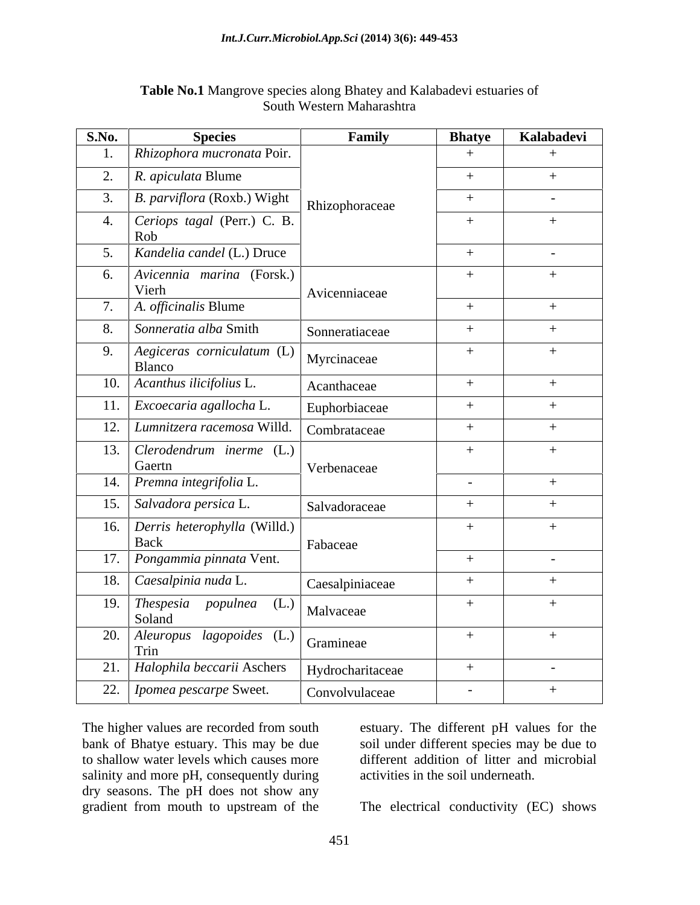| <b>S.No.</b> | <b>Species</b>                                | Family           | <b>Bhatye</b> | Kalabadevi |
|--------------|-----------------------------------------------|------------------|---------------|------------|
|              | Rhizophora mucronata Poir.                    |                  |               |            |
|              | 2. R. <i>apiculata</i> Blume                  |                  | $+$           | $+$        |
|              | 3. B. parviflora (Roxb.) Wight                | Rhizophoraceae   | $+$           | $\sim$     |
|              | 4. Ceriops tagal (Perr.) C. B.                |                  | $+$           | $^{+}$     |
|              | Rob                                           |                  |               |            |
|              | 5. Kandelia candel (L.) Druce                 |                  | $+$           | $\sim$     |
|              | 6. <i>Avicennia marina</i> (Forsk.)<br>Vierh  | Avicenniaceae    | $+$           |            |
| 7.           | A. officinalis Blume                          |                  | $+$           |            |
|              | 8. Sonneratia alba Smith                      | Sonneratiaceae   | $+$           | $^{+}$     |
|              | 9.   Aegiceras corniculatum (L)               |                  | $+$           |            |
|              | Blanco                                        | Myrcinaceae      |               |            |
|              | 10. Acanthus ilicifolius L.                   | Acanthaceae      | $+$           |            |
|              | 11. Excoecaria agallocha L.                   | Euphorbiaceae    | $+$           | $^{+}$     |
|              | 12. Lumnitzera racemosa Willd.   Combrataceae |                  | $+$           | $^{+}$     |
|              | 13. Clerodendrum inerme $(L)$                 |                  | $+$           | $+$        |
|              | Gaertn                                        | Verbenaceae      |               |            |
|              | 14. Premna integrifolia L.                    |                  | $\sim$        | $^{+}$     |
|              | 15. Salvadora persica L.                      | Salvadoraceae    | $+$           |            |
|              | 16. Derris heterophylla (Willd.)              |                  | $+$           | $+$        |
|              | Back<br>17. Pongammia pinnata Vent.           | Fabaceae         | $+$           | $\sim$     |
|              |                                               |                  |               |            |
|              | 18. Caesalpinia nuda L.                       | Caesalpiniaceae  | $+$           |            |
|              | 19. Thespesia populnea $(L.)$<br>Soland       | Malvaceae        | $+$           |            |
|              | 20. Aleuropus lagopoides $(L.)$               | Gramineae        | $+$           | $+$        |
|              | Trin                                          |                  |               |            |
|              | 21. Halophila beccarii Aschers                | Hydrocharitaceae | $+$           | $\sim$ $-$ |
|              | 22. <i>I pomea pescarpe</i> Sweet.            | Convolvulaceae   | $\sim$        | $+$        |

### **Table No.1** Mangrove species along Bhatey and Kalabadevi estuaries of South Western Maharashtra

The higher values are recorded from south estuary. The different pH values for the bank of Bhatye estuary. This may be due soil under different species may be due to to shallow water levels which causes more salinity and more pH, consequently during dry seasons. The pH does not show any gradient from mouth to upstream of the gradient from mouth to upstream of the The electrical conductivity (EC) shows

different addition of litter and microbial activities in the soil underneath.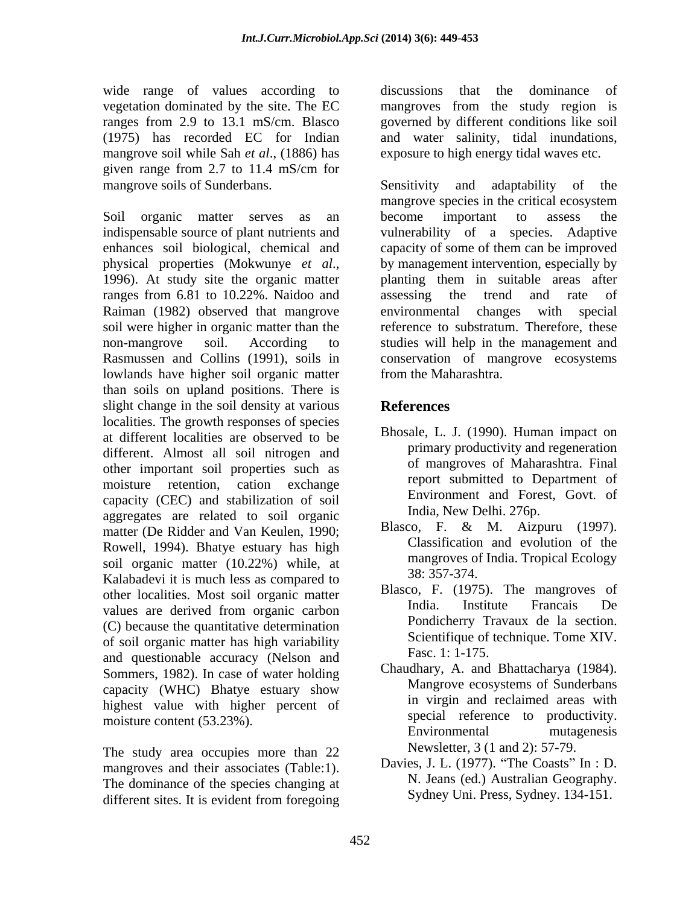wide range of values according to discussions that the dominance of vegetation dominated by the site. The EC mangroves from the study region is ranges from 2.9 to 13.1 mS/cm. Blasco governed by different conditions like soil (1975) has recorded EC for Indian and water salinity, tidal inundations, mangrove soil while Sah *et al*., (1886) has given range from 2.7 to 11.4 mS/cm for

Soil organic matter serves as an become important to assess the ranges from 6.81 to 10.22%. Naidoo and assessing the trend and rate of Raiman (1982) observed that mangrove environmental changes with special lowlands have higher soil organic matter than soils on upland positions. There is slight change in the soil density at various References localities. The growth responses of species at different localities are observed to be different. Almost all soil nitrogen and other important soil properties such as moisture retention, cation exchange report submitted to Department of capacity (CEC) and stabilization of soil aggregates are related to soil organic matter (De Ridder and Van Keulen, 1990; Rowell, 1994). Bhatye estuary has high soil organic matter  $(10.22\%)$  while, at mangroves of mangroves of  $(10.22\%)$  while, at a second state  $(38.357-374)$ . Kalabadevi it is much less as compared to other localities. Most soil organic matter busised, F. (1975). The mangroves of unline are defined from experience values are derived from organic carbon<br>  $R_{\text{total}}$  institute Francais De (C) because the quantitative determination of soil organic matter has high variability<br>
and successional security (Nalson and Fasc. 1: 1-175. and questionable accuracy (Nelson and Sommers, 1982). In case of water holding capacity (WHC) Bhatye estuary show highest value with higher percent of

The study area occupies more than 22 mangroves and their associates (Table:1). The dominance of the species changing at different sites. It is evident from foregoing sydler by Sydley Uni. Press, Sydley. 134-151.

discussions that the dominance of exposure to high energy tidal waves etc.

mangrove soils of Sunderbans. Sensitivity and adaptability of the indispensable source of plant nutrients and vulnerability of a species. Adaptive enhances soil biological, chemical and capacity of some of them can be improved physical properties (Mokwunye *et al.*, by management intervention, especially by 1996). At study site the organic matter planting them in suitable areas after soil were higher in organic matter than the reference to substratum. Therefore, these non-mangrove soil. According to studies will help in the management and Rasmussen and Collins (1991), soils in conservation of mangrove ecosystems mangrove species in the critical ecosystem become important to assess the by management intervention, especially by planting them in suitable areas after assessing the trend and rate of environmental changes with special from the Maharashtra.

# **References**

- Bhosale, L. J. (1990). Human impact on primary productivity and regeneration of mangroves of Maharashtra. Final report submitted to Department of Environment and Forest, Govt. of India, New Delhi. 276p.
- Blasco, F. & M. Aizpuru (1997). Classification and evolution of the mangroves of India. Tropical Ecology 38: 357-374.
- Blasco, F. (1975). The mangroves of India. Institute Francais De Pondicherry Travaux de la section. Scientifique of technique. Tome XIV. Fasc. 1: 1-175.
- moisture content (53.23%).<br>Environmental mutagenesis Chaudhary, A. and Bhattacharya (1984). Mangrove ecosystems of Sunderbans in virgin and reclaimed areas with special reference to productivity. Environmental mutagenesis Newsletter, 3 (1 and 2): 57-79.
	- Davies, J. L. (1977). "The Coasts" In : D. N. Jeans (ed.) Australian Geography. Sydney Uni. Press, Sydney. 134-151.